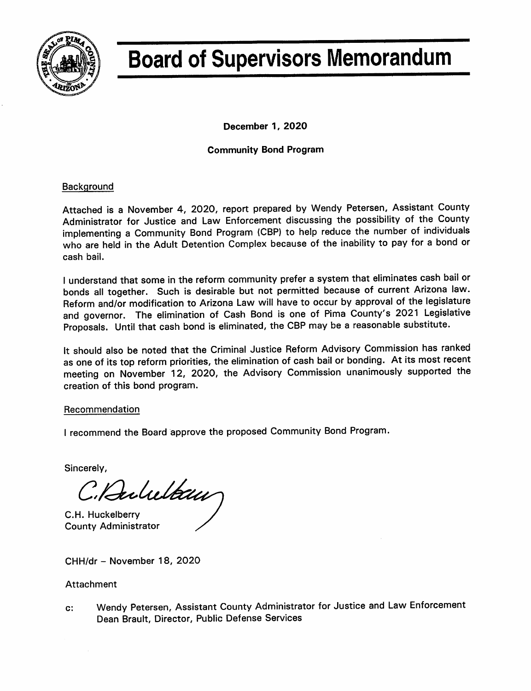

# **Board of Supervisors Memorandum**

December 1, 2020

# **Community Bond Program**

## **Background**

Attached is a November 4, 2020, report prepared by Wendy Petersen, Assistant County Administrator for Justice and Law Enforcement discussing the possibility of the County implementing a Community Bond Program (CBP) to help reduce the number of individuals who are held in the Adult Detention Complex because of the inability to pay for a bond or cash bail.

I understand that some in the reform community prefer a system that eliminates cash bail or bonds all together. Such is desirable but not permitted because of current Arizona law. Reform and/or modification to Arizona Law will have to occur by approval of the legislature and governor. The elimination of Cash Bond is one of Pima County's 2021 Legislative Proposals. Until that cash bond is eliminated, the CBP may be a reasonable substitute.

It should also be noted that the Criminal Justice Reform Advisory Commission has ranked as one of its top reform priorities, the elimination of cash bail or bonding. At its most recent meeting on November 12, 2020, the Advisory Commission unanimously supported the creation of this bond program.

## Recommendation

I recommend the Board approve the proposed Community Bond Program.

Sincerely,

C. Rulultan

C.H. Huckelberry **County Administrator** 

CHH/dr - November 18, 2020

## Attachment

Wendy Petersen, Assistant County Administrator for Justice and Law Enforcement  $c$ : Dean Brault, Director, Public Defense Services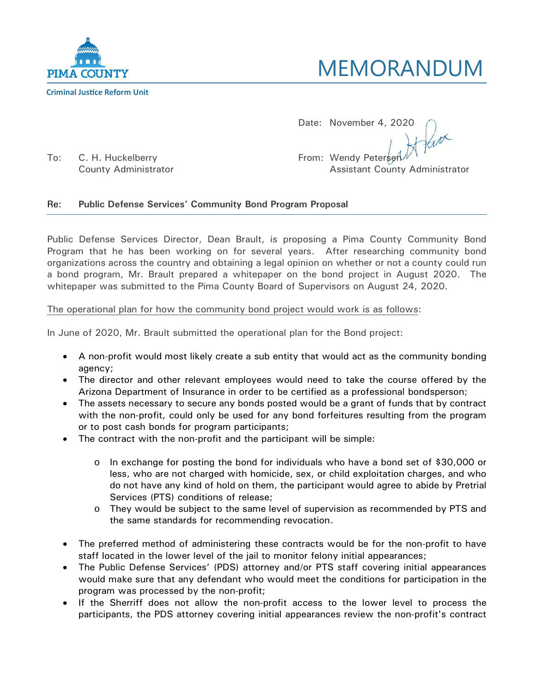



Date: November 4, 2020

To: C. H. Huckelberry **From: Wendy Petersen** Prom: Wendy Petersen

County Administrator **Assistant County Administrator** Assistant County Administrator

## Re: **Public Defense Services' Community Bond Program Proposal**

Public Defense Services Director, Dean Brault, is proposing a Pima County Community Bond Program that he has been working on for several years. After researching community bond organizations across the country and obtaining a legal opinion on whether or not a county could run a bond program, Mr. Brault prepared a whitepaper on the bond project in August 2020. The whitepaper was submitted to the Pima County Board of Supervisors on August 24, 2020.

#### The operational plan for how the community bond project would work is as follows:

In June of 2020, Mr. Brault submitted the operational plan for the Bond project:

- A non-profit would most likely create a sub entity that would act as the community bonding agency;
- The director and other relevant employees would need to take the course offered by the Arizona Department of Insurance in order to be certified as a professional bondsperson;
- The assets necessary to secure any bonds posted would be a grant of funds that by contract with the non-profit, could only be used for any bond forfeitures resulting from the program or to post cash bonds for program participants;
- The contract with the non-profit and the participant will be simple:
	- o In exchange for posting the bond for individuals who have a bond set of \$30,000 or less, who are not charged with homicide, sex, or child exploitation charges, and who do not have any kind of hold on them, the participant would agree to abide by Pretrial Services (PTS) conditions of release;
	- o They would be subject to the same level of supervision as recommended by PTS and the same standards for recommending revocation.
- The preferred method of administering these contracts would be for the non-profit to have staff located in the lower level of the jail to monitor felony initial appearances;
- The Public Defense Services' (PDS) attorney and/or PTS staff covering initial appearances would make sure that any defendant who would meet the conditions for participation in the program was processed by the non-profit;
- If the Sherriff does not allow the non-profit access to the lower level to process the participants, the PDS attorney covering initial appearances review the non-profit's contract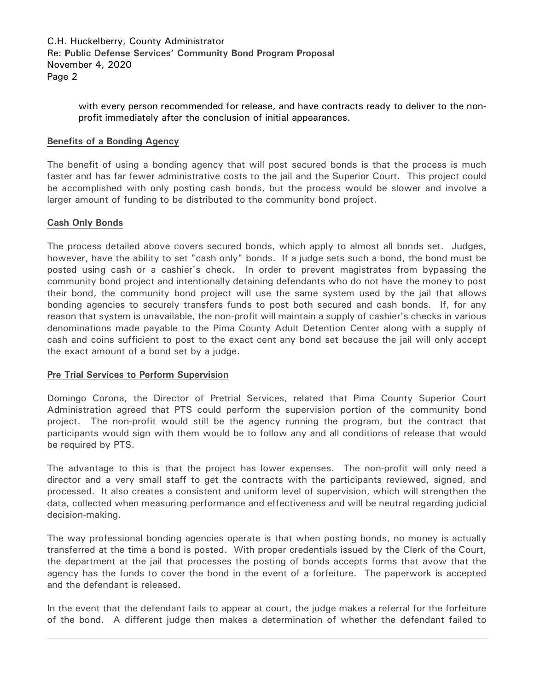C.H. Huckelberry, County Administrator Re: **Public Defense Services' Community Bond Program Proposal** November 4, 2020 Page 2

> with every person recommended for release, and have contracts ready to deliver to the nonprofit immediately after the conclusion of initial appearances.

#### **Benefits of a Bonding Agency**

The benefit of using a bonding agency that will post secured bonds is that the process is much faster and has far fewer administrative costs to the jail and the Superior Court. This project could be accomplished with only posting cash bonds, but the process would be slower and involve a larger amount of funding to be distributed to the community bond project.

#### **Cash Only Bonds**

The process detailed above covers secured bonds, which apply to almost all bonds set. Judges, however, have the ability to set "cash only" bonds. If a judge sets such a bond, the bond must be posted using cash or a cashier's check. In order to prevent magistrates from bypassing the community bond project and intentionally detaining defendants who do not have the money to post their bond, the community bond project will use the same system used by the jail that allows bonding agencies to securely transfers funds to post both secured and cash bonds. If, for any reason that system is unavailable, the non-profit will maintain a supply of cashier's checks in various denominations made payable to the Pima County Adult Detention Center along with a supply of cash and coins sufficient to post to the exact cent any bond set because the jail will only accept the exact amount of a bond set by a judge.

#### **Pre Trial Services to Perform Supervision**

Domingo Corona, the Director of Pretrial Services, related that Pima County Superior Court Administration agreed that PTS could perform the supervision portion of the community bond project. The non-profit would still be the agency running the program, but the contract that participants would sign with them would be to follow any and all conditions of release that would be required by PTS.

The advantage to this is that the project has lower expenses. The non-profit will only need a director and a very small staff to get the contracts with the participants reviewed, signed, and processed. It also creates a consistent and uniform level of supervision, which will strengthen the data, collected when measuring performance and effectiveness and will be neutral regarding judicial decision-making.

The way professional bonding agencies operate is that when posting bonds, no money is actually transferred at the time a bond is posted. With proper credentials issued by the Clerk of the Court, the department at the jail that processes the posting of bonds accepts forms that avow that the agency has the funds to cover the bond in the event of a forfeiture. The paperwork is accepted and the defendant is released.

In the event that the defendant fails to appear at court, the judge makes a referral for the forfeiture of the bond. A different judge then makes a determination of whether the defendant failed to